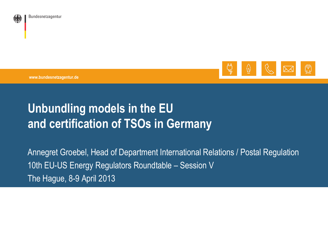



**www.bundesnetzagentur.de**

# **Unbundling models in the EU and certification of TSOs in Germany**

Annegret Groebel, Head of Department International Relations / Postal Regulation 10th EU-US Energy Regulators Roundtable – Session V The Hague, 8-9 April 2013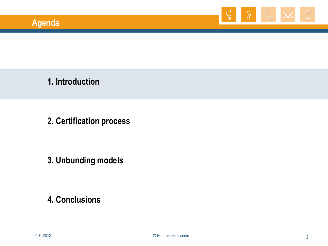

**1. Introduction**

**2. Certification process**

**3. Unbunding models**

**4. Conclusions**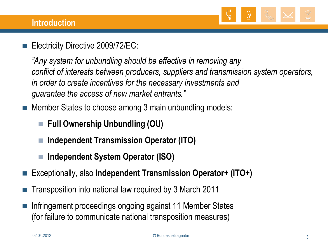

Electricity Directive 2009/72/EC:

*"Any system for unbundling should be effective in removing any conflict of interests between producers, suppliers and transmission system operators, in order to create incentives for the necessary investments and guarantee the access of new market entrants."*

Member States to choose among 3 main unbundling models:

- **Full Ownership Unbundling (OU)**
- **Independent Transmission Operator (ITO)**
- **Independent System Operator (ISO)**
- Exceptionally, also **Independent Transmission Operator+ (ITO+)**
- Transposition into national law required by 3 March 2011
- Infringement proceedings ongoing against 11 Member States (for failure to communicate national transposition measures)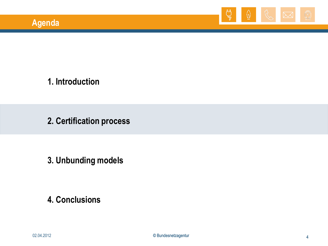

**1. Introduction**

**2. Certification process**

**3. Unbunding models**

**4. Conclusions**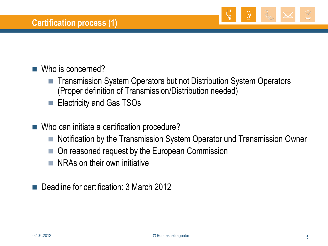

## Who is concerned?

- Transmission System Operators but not Distribution System Operators (Proper definition of Transmission/Distribution needed)
- **Electricity and Gas TSOs**
- Who can initiate a certification procedure?
	- Notification by the Transmission System Operator und Transmission Owner
	- On reasoned request by the European Commission
	- $\blacksquare$  NRAs on their own initiative
- Deadline for certification: 3 March 2012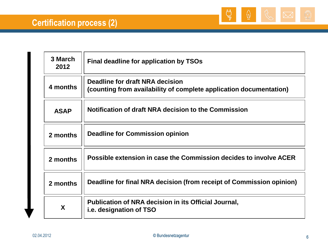

| 3 March<br>2012 | Final deadline for application by TSOs                                                                |
|-----------------|-------------------------------------------------------------------------------------------------------|
| 4 months        | Deadline for draft NRA decision<br>(counting from availability of complete application documentation) |
| <b>ASAP</b>     | Notification of draft NRA decision to the Commission                                                  |
| 2 months        | Deadline for Commission opinion                                                                       |
| 2 months        | Possible extension in case the Commission decides to involve ACER                                     |
| 2 months        | Deadline for final NRA decision (from receipt of Commission opinion)                                  |
| X               | Publication of NRA decision in its Official Journal,<br><i>i.e.</i> designation of TSO                |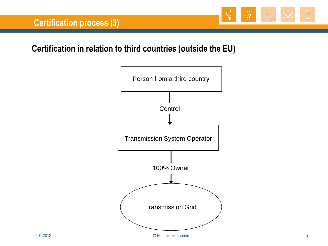

## **Certification in relation to third countries (outside the EU)**

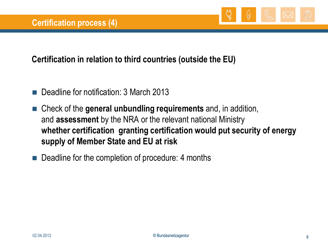

## **Certification in relation to third countries (outside the EU)**

- Deadline for notification: 3 March 2013
- Check of the **general unbundling requirements** and, in addition, and **assessment** by the NRA or the relevant national Ministry **whether certification granting certification would put security of energy supply of Member State and EU at risk**
- Deadline for the completion of procedure: 4 months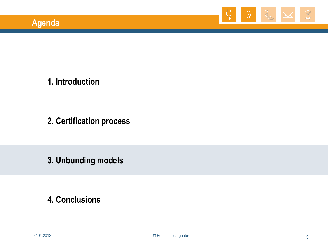

**1. Introduction**

**2. Certification process**

**3. Unbunding models**

**4. Conclusions**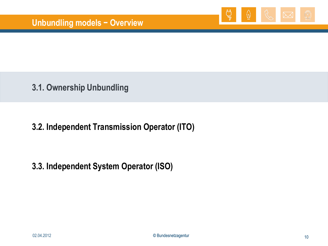

**3.1. Ownership Unbundling**

## **3.2. Independent Transmission Operator (ITO)**

## **3.3. Independent System Operator (ISO)**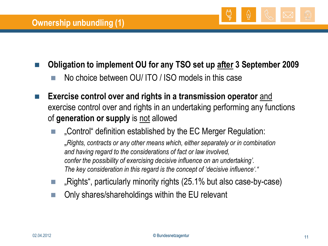

- **Obligation to implement OU for any TSO set up after 3 September 2009**
	- No choice between OU/ ITO / ISO models in this case
- **Exercise control over and rights in a transmission operator** and exercise control over and rights in an undertaking performing any functions of **generation or supply** is not allowed
	- "Control" definition established by the EC Merger Regulation: "*Rights, contracts or any other means which, either separately or in combination and having regard to the considerations of fact or law involved, confer the possibility of exercising decisive influence on an undertaking". The key consideration in this regard is the concept of "decisive influence"."*
	- "Rights", particularly minority rights (25.1% but also case-by-case)
	- Only shares/shareholdings within the EU relevant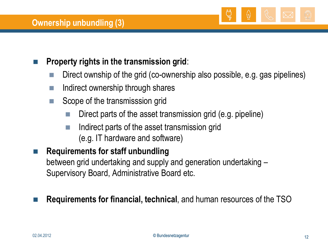

## **Property rights in the transmission grid**:

- Direct ownship of the grid (co-ownership also possible, e.g. gas pipelines)
- Indirect ownership through shares
- Scope of the transmisssion grid
	- Direct parts of the asset transmission grid (e.g. pipeline)
	- $\blacksquare$  Indirect parts of the asset transmission grid (e.g. IT hardware and software)

## **Requirements for staff unbundling**

between grid undertaking and supply and generation undertaking – Supervisory Board, Administrative Board etc.

## **Requirements for financial, technical**, and human resources of the TSO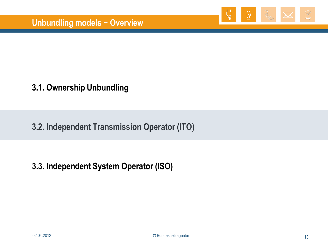

## **3.1. Ownership Unbundling**

**3.2. Independent Transmission Operator (ITO)**

#### **3.3. Independent System Operator (ISO)**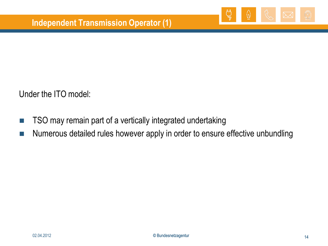

Under the ITO model:

- TSO may remain part of a vertically integrated undertaking
- **Numerous detailed rules however apply in order to ensure effective unbundling**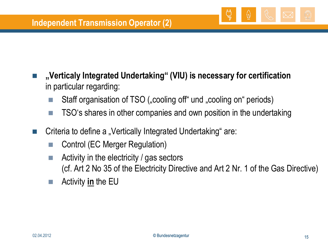

- $\blacksquare$  Staff organisation of TSO ("cooling off" und "cooling on" periods)
- $\blacksquare$  TSO's shares in other companies and own position in the undertaking
- Criteria to define a "Vertically Integrated Undertaking" are:
	- Control (EC Merger Regulation)
	- $\blacksquare$  Activity in the electricity / gas sectors (cf. Art 2 No 35 of the Electricity Directive and Art 2 Nr. 1 of the Gas Directive)
	- Activity **in** the EU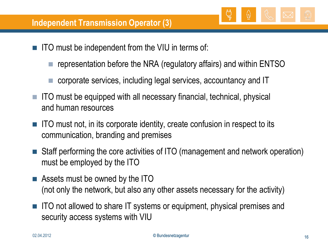

- representation before the NRA (regulatory affairs) and within ENTSO
- corporate services, including legal services, accountancy and IT
- $\blacksquare$  ITO must be equipped with all necessary financial, technical, physical and human resources
- ITO must not, in its corporate identity, create confusion in respect to its communication, branding and premises
- Staff performing the core activities of ITO (management and network operation) must be employed by the ITO
- **EXECUTE:** Assets must be owned by the ITO (not only the network, but also any other assets necessary for the activity)
- ITO not allowed to share IT systems or equipment, physical premises and security access systems with VIU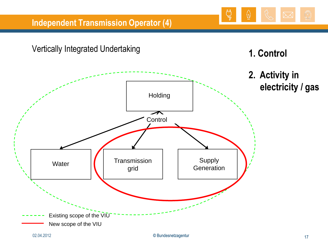

ۣ۞

W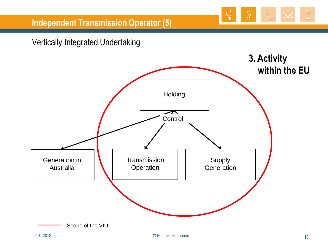

## Vertically Integrated Undertaking

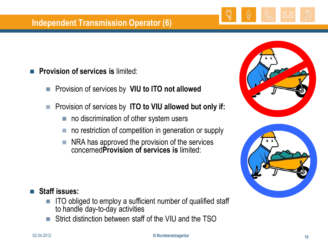#### **Independent Transmission Operator (6)**

- **Provision of services is** limited:
	- **Provision of services by VIU to ITO not allowed**
	- Provision of services by **ITO to VIU allowed but only if:**
		- no discrimination of other system users
		- no restriction of competition in generation or supply
		- $\blacksquare$  NRA has approved the provision of the services concerned**Provision of services is** limited:





#### **Staff issues:**

- $\blacksquare$  ITO obliged to employ a sufficient number of qualified staff to handle day-to-day activities
- Strict distinction between staff of the VIU and the TSO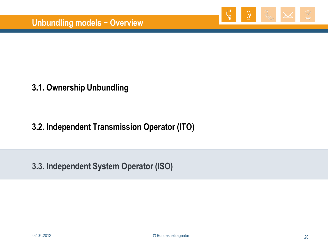

## **3.1. Ownership Unbundling**

## **3.2. Independent Transmission Operator (ITO)**

**3.3. Independent System Operator (ISO)**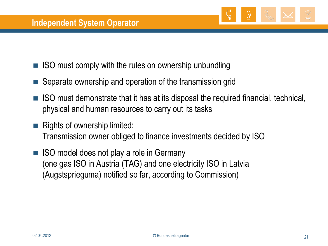

- ISO must comply with the rules on ownership unbundling
- Separate ownership and operation of the transmission grid
- ISO must demonstrate that it has at its disposal the required financial, technical, physical and human resources to carry out its tasks
- $\blacksquare$  Rights of ownership limited: Transmission owner obliged to finance investments decided by ISO
- ISO model does not play a role in Germany (one gas ISO in Austria (TAG) and one electricity ISO in Latvia (Augstsprieguma) notified so far, according to Commission)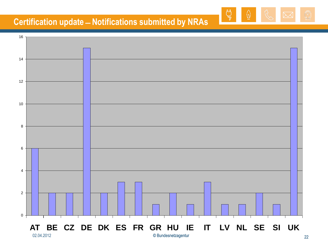## **Certification update ̶ Notifications submitted by NRAs**



௹

(۸

ۣ۞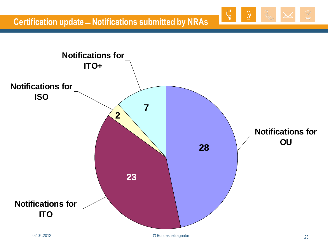

چ

W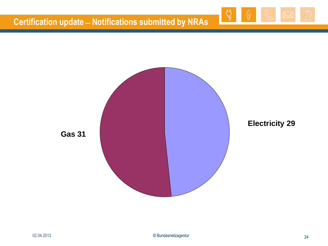## **Certification update ̶ Notifications submitted by NRAs**





 $\overline{C}$ 

 $\omega$ 

٦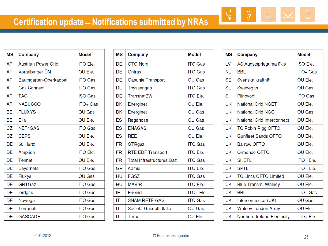| <b>MS</b> | Company                    | <b>Model</b>    |
|-----------|----------------------------|-----------------|
| <b>AT</b> | <b>Austrian Power Grid</b> | <b>ITO Ele.</b> |
| AT        | Vorarlberger UN            | OU Ele.         |
| <b>AT</b> | Baumgarten-Oberkappel      | <b>ITO Gas</b>  |
| <b>AT</b> | <b>Gas Connect</b>         | <b>ITO Gas</b>  |
| AT        | <b>TAG</b>                 | <b>ISO Gas</b>  |
| AT        | <b>NABUCCO</b>             | ITO+ Gas        |
| <b>BE</b> | <b>FLUXYS</b>              | <b>OU Gas</b>   |
| <b>BE</b> | Elia                       | OU Ele.         |
| CZ        | <b>NET4GAS</b>             | <b>ITO Gas</b>  |
| CZ        | <b>CEPS</b>                | OU Ele.         |
| DE        | 50 Hertz                   | OU Ele.         |
| DE        | Amprion                    | <b>ITO Ele.</b> |
| DE        | <b>Tennet</b>              | OU Ele.         |
| DE        | <b>Bayernets</b>           | <b>ITO Gas</b>  |
| DE        | <b>Fluxys</b>              | <b>OU Gas</b>   |
| DE        | <b>GRTGaz</b>              | <b>ITO Gas</b>  |
| DE        | jordgas                    | <b>ITO Gas</b>  |
| DE        | Nowega                     | <b>ITO Gas</b>  |
| DE        | Terranets                  | <b>ITO Gas</b>  |
| DE        | <b>GASCADE</b>             | ITO Gas         |

| <b>MS</b> | Company                          | <b>Model</b>    |
|-----------|----------------------------------|-----------------|
| <b>DE</b> | <b>GTG Nord</b>                  | <b>ITO Gas</b>  |
| DE        | <b>Ontras</b>                    | <b>ITO Gas</b>  |
| DE        | <b>Gasunie Transport</b>         | <b>OU Gas</b>   |
| <b>DE</b> | <b>Thyssengas</b>                | <b>ITO Gas</b>  |
| DE        | <b>TransnetBW</b>                | <b>ITO Ele.</b> |
| <b>DK</b> | Energinet                        | OU Ele.         |
| <b>DK</b> | Energinet                        | <b>OU Gas</b>   |
| ES        | Reganosa                         | <b>OU Gas</b>   |
| <b>ES</b> | <b>ENAGAS</b>                    | <b>OU Gas</b>   |
| ES        | <b>REE</b>                       | OU Ele.         |
| <b>FR</b> | <b>GTRgaz</b>                    | <b>ITO Gas</b>  |
| <b>FR</b> | <b>RTE EDF Transport</b>         | <b>ITO Ele.</b> |
| <b>FR</b> | <b>Total Infrastructures Gaz</b> | <b>ITO Gas</b>  |
| GR        | <b>Admie</b>                     | <b>ITO Ele.</b> |
| HU        | <b>FGSZ</b>                      | <b>ITO Gas</b>  |
| HU        | <b>MAVIR</b>                     | <b>ITO Ele.</b> |
| ΙE        | <b>EirGrid</b>                   | ITO+ Ele.       |
| IT        | <b>SNAM RETE GAS</b>             | <b>ITO Gas</b>  |
| IΤ        | Società Gasdotti Italia          | <b>OU Gas</b>   |
| IT        | Terna                            | OU Ele.         |

| <b>MS</b> | <b>Company</b>                      | <b>Model</b>    |
|-----------|-------------------------------------|-----------------|
| LV        | AS Augstsprieguma tīkls             | <b>ISO Ele.</b> |
| <b>NL</b> | <b>BBL</b>                          | ITO+ Gas        |
| <b>SE</b> | Svenska kraftnät                    | OU Ele.         |
| <b>SE</b> | Swedegas                            | <b>OU Gas</b>   |
| SI        | Plinovodi                           | <b>ITO Gas</b>  |
| <b>UK</b> | <b>National Grid NGET</b>           | OU Ele.         |
| UK        | <b>National Grid NGG</b>            | OU Gas          |
| UK        | <b>National Grid Interconnect</b>   | OU Ele.         |
| UK        | <b>TC Robin Rigg OFTO</b>           | OU Ele.         |
| UK        | <b>Gunfleet Sands OFTO</b>          | OU Ele.         |
| <b>UK</b> | <b>Barrow OFTO</b>                  | OU Ele.         |
| UK        | Ormonde OFTO                        | OU Ele.         |
| <b>UK</b> | <b>SHETL</b>                        | ITO+ Ele.       |
| UK        | <b>SPTL</b>                         | ITO+ Ele.       |
| UK        | <b>TC Lincs OFTO Limited</b>        | OU Ele.         |
| UK        | <b>Blue Transm. Walney</b>          | OU Ele.         |
| UK        | <b>BBL</b>                          | ITO+ Gas        |
| <b>UK</b> | Interconnector (UK)                 | <b>OU Gas</b>   |
| <b>UK</b> | <b>Walney London Array</b>          | OU Ele.         |
| UK        | <b>Northern Ireland Electricity</b> | $ITO + File$ .  |

௹

 $\overline{\mathbb{Q}}$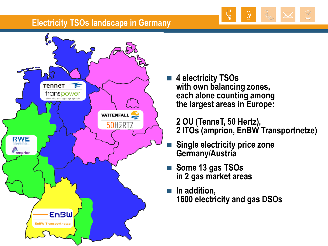

#### **Electricity TSOs landscape in Germany**



 **4 electricity TSOs with own balancing zones, each alone counting among the largest areas in Europe:** 

**2 OU (TenneT, 50 Hertz), 2 ITOs (amprion, EnBW Transportnetze)**

- **Single electricity price zone Germany/Austria**
- **Some 13 gas TSOs in 2 gas market areas**
- In addition, **1600 electricity and gas DSOs**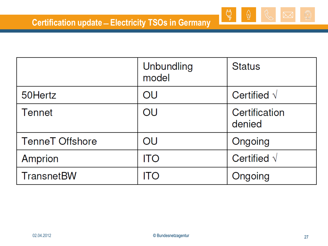|                        | Unbundling<br>model | <b>Status</b>           |
|------------------------|---------------------|-------------------------|
| 50Hertz                | OU                  | Certified $\sqrt$       |
| Tennet                 | OU                  | Certification<br>denied |
| <b>TenneT Offshore</b> | OU                  | Ongoing                 |
| Amprion                | <b>ITO</b>          | Certified $\sqrt$       |
| <b>TransnetBW</b>      | ITO                 | Ongoing                 |

 $\begin{picture}(120,115) \put(0,0){\line(1,0){15}} \put(15,0){\line(1,0){15}} \put(15,0){\line(1,0){15}} \put(15,0){\line(1,0){15}} \put(15,0){\line(1,0){15}} \put(15,0){\line(1,0){15}} \put(15,0){\line(1,0){15}} \put(15,0){\line(1,0){15}} \put(15,0){\line(1,0){15}} \put(15,0){\line(1,0){15}} \put(15,0){\line(1,0){15}} \put(15,0){\line$ 

 $\overline{\mathbb{Q}}$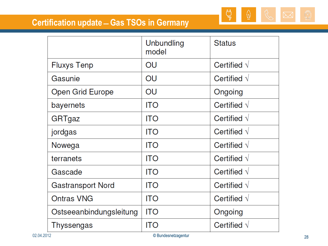## **Certification update ̶ Gas TSOs in Germany**

|                          | Unbundling<br>model | <b>Status</b>        |
|--------------------------|---------------------|----------------------|
| <b>Fluxys Tenp</b>       | OU                  | Certified $\sqrt{ }$ |
| Gasunie                  | OU                  | Certified $\sqrt$    |
| Open Grid Europe         | OU                  | Ongoing              |
| bayernets                | <b>ITO</b>          | Certified $\sqrt$    |
| GRTgaz                   | <b>ITO</b>          | Certified $\sqrt{ }$ |
| jordgas                  | <b>ITO</b>          | Certified $\sqrt{}$  |
| Nowega                   | ITO                 | Certified $\sqrt{ }$ |
| terranets                | ITO                 | Certified $\sqrt{}$  |
| Gascade                  | <b>ITO</b>          | Certified $\sqrt$    |
| <b>Gastransport Nord</b> | ITO                 | Certified $\sqrt$    |
| <b>Ontras VNG</b>        | ITO                 | Certified $\sqrt$    |
| Ostseeanbindungsleitung  | <b>ITO</b>          | Ongoing              |
| Thyssengas               | <b>ITO</b>          | Certified $\sqrt$    |

௶

 $\hat{\mathbb{Q}}$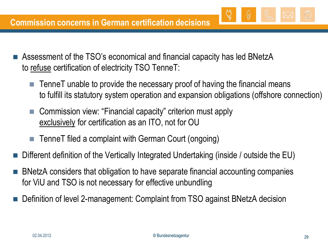- Assessment of the TSO"s economical and financial capacity has led BNetzA to refuse certification of electricity TSO TenneT:
	- $\blacksquare$  TenneT unable to provide the necessary proof of having the financial means to fulfill its statutory system operation and expansion obligations (offshore connection)
	- Commission view: "Financial capacity" criterion must apply exclusively for certification as an ITO, not for OU
	- TenneT filed a complaint with German Court (ongoing)
- Different definition of the Vertically Integrated Undertaking (inside / outside the EU)
- BNetzA considers that obligation to have separate financial accounting companies for ViU and TSO is not necessary for effective unbundling
- Definition of level 2-management: Complaint from TSO against BNetzA decision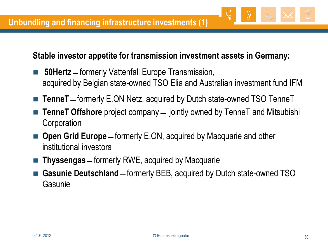## **Stable investor appetite for transmission investment assets in Germany:**

- **50Hertz** ̶ formerly Vattenfall Europe Transmission, acquired by Belgian state-owned TSO Elia and Australian investment fund IFM
- **TenneT** formerly E.ON Netz, acquired by Dutch state-owned TSO TenneT
- **TenneT Offshore** project company ̶ jointly owned by TenneT and Mitsubishi **Corporation**
- **Open Grid Europe** formerly E.ON, acquired by Macquarie and other institutional investors
- **Thyssengas** ̶ formerly RWE, acquired by Macquarie
- **Gasunie Deutschland** ̶ formerly BEB, acquired by Dutch state-owned TSO Gasunie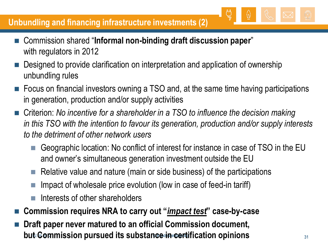## **Unbundling and financing infrastructure investments (2)**

- Commission shared "**Informal non-binding draft discussion paper**" with regulators in 2012
- Designed to provide clarification on interpretation and application of ownership unbundling rules
- Focus on financial investors owning a TSO and, at the same time having participations in generation, production and/or supply activities
- Criterion: *No incentive for a shareholder in a TSO to influence the decision making in this TSO with the intention to favour its generation, production and/or supply interests to the detriment of other network users*
	- Geographic location: No conflict of interest for instance in case of TSO in the EU and owner"s simultaneous generation investment outside the EU
	- $\blacksquare$  Relative value and nature (main or side business) of the participations
	- Impact of wholesale price evolution (low in case of feed-in tariff)
	- Interests of other shareholders
- **Commission requires NRA to carry out "***impact test***" case-by-case**
- **but Commission pursued its substance in certification opinions** which such that  $\frac{31}{31}$ **Draft paper never matured to an official Commission document,**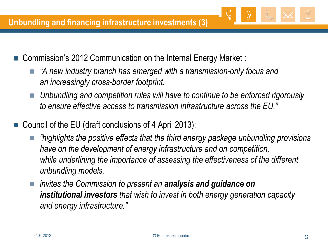- Commission"s 2012 Communication on the Internal Energy Market :
	- *"A new industry branch has emerged with a transmission-only focus and an increasingly cross-border footprint.*
	- *Unbundling and competition rules will have to continue to be enforced rigorously to ensure effective access to transmission infrastructure across the EU."*
- Council of the EU (draft conclusions of 4 April 2013):
	- *"highlights the positive effects that the third energy package unbundling provisions have on the development of energy infrastructure and on competition, while underlining the importance of assessing the effectiveness of the different unbundling models,*
	- *invites the Commission to present an analysis and guidance on institutional investors that wish to invest in both energy generation capacity and energy infrastructure."*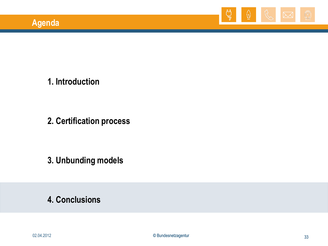

**1. Introduction**

**2. Certification process**

**3. Unbunding models**

**4. Conclusions**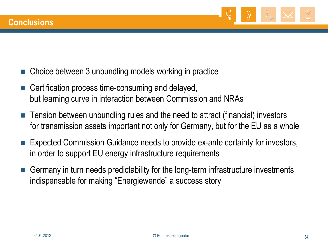

- Choice between 3 unbundling models working in practice
- Certification process time-consuming and delayed, but learning curve in interaction between Commission and NRAs
- Tension between unbundling rules and the need to attract (financial) investors for transmission assets important not only for Germany, but for the EU as a whole
- Expected Commission Guidance needs to provide ex-ante certainty for investors, in order to support EU energy infrastructure requirements
- Germany in turn needs predictability for the long-term infrastructure investments indispensable for making "Energiewende" a success story